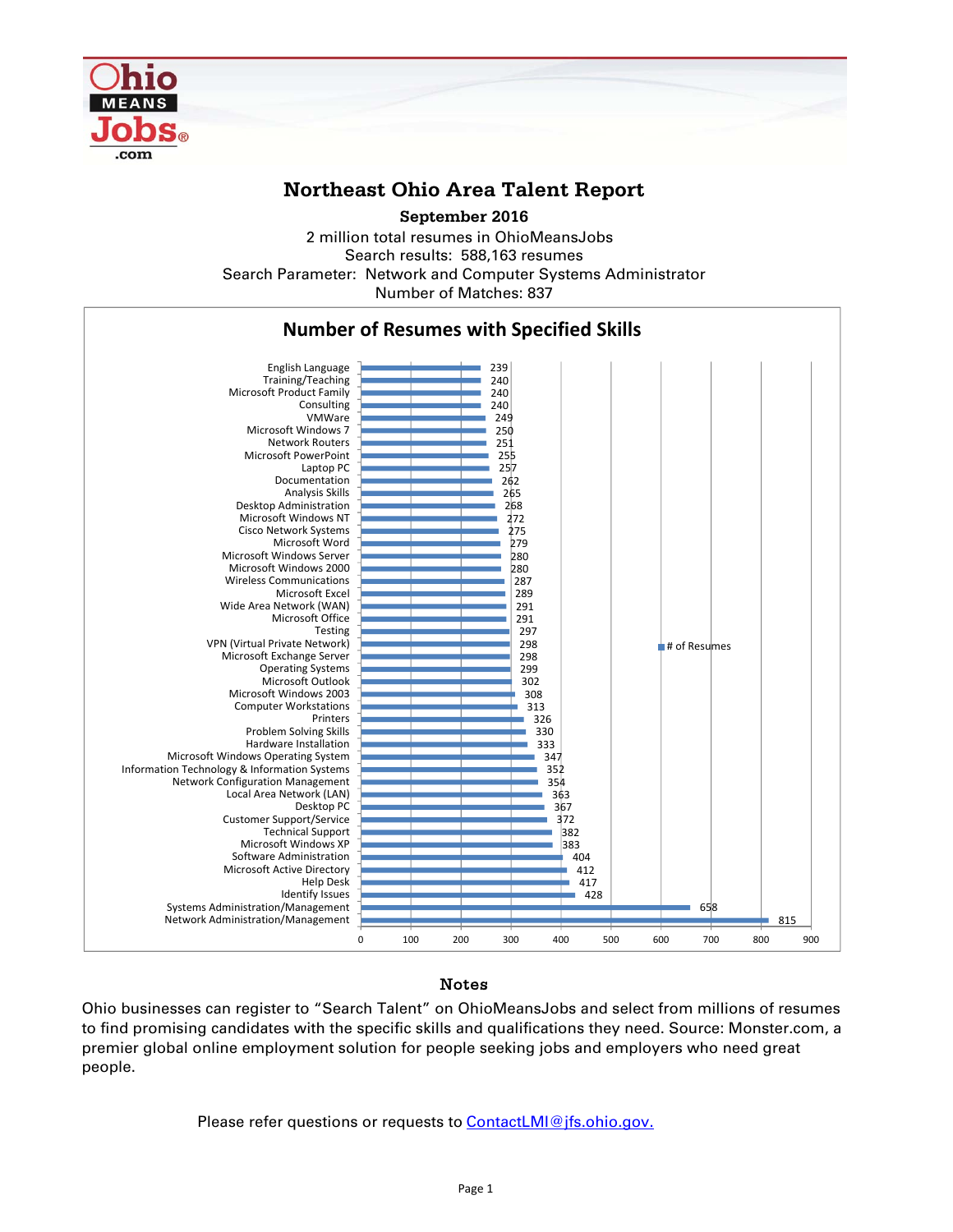

## **Northeast Ohio Area Talent Report**

**September 2016**

2 million total resumes in OhioMeansJobs Search results: 588,163 resumes Number of Matches: 837 Search Parameter: Network and Computer Systems Administrator



## Notes

Ohio businesses can register to "Search Talent" on OhioMeansJobs and select from millions of resumes to find promising candidates with the specific skills and qualifications they need. Source: Monster.com, a premier global online employment solution for people seeking jobs and employers who need great people.

Please refer questions or requests to **ContactLMI@jfs.ohio.gov.**